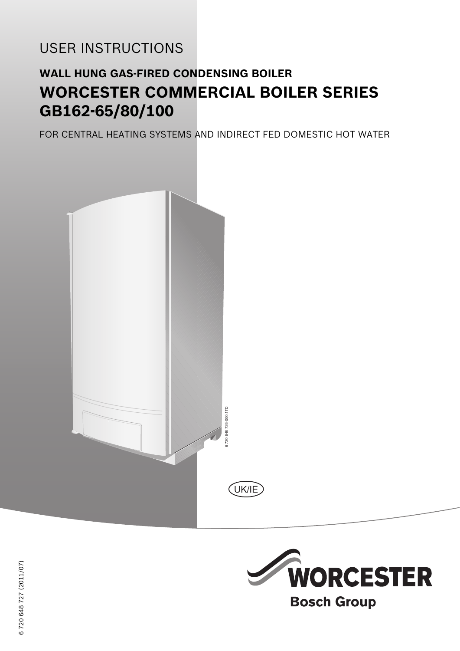# USER INSTRUCTIONS

# **WALL HUNG GAS-FIRED CONDENSING BOILER WORCESTER COMMERCIAL BOILER SERIES GB162-65/80/100**

FOR CENTRAL HEATING SYSTEMS AND INDIRECT FED DOMESTIC HOT WATER





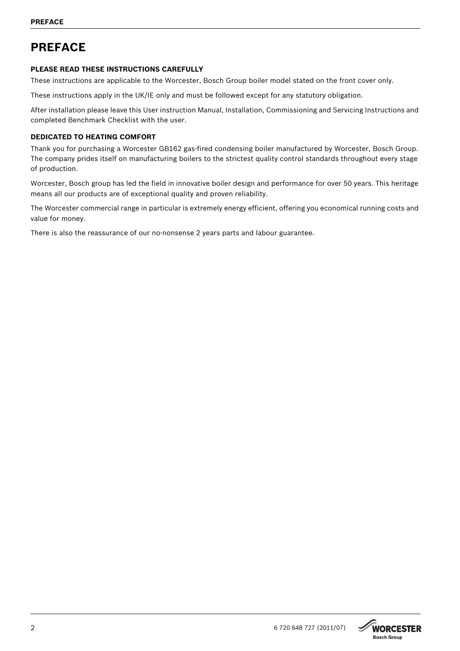## **PREFACE**

## **PLEASE READ THESE INSTRUCTIONS CAREFULLY**

These instructions are applicable to the Worcester, Bosch Group boiler model stated on the front cover only.

These instructions apply in the UK/IE only and must be followed except for any statutory obligation.

After installation please leave this User instruction Manual, Installation, Commissioning and Servicing Instructions and completed Benchmark Checklist with the user.

## **DEDICATED TO HEATING COMFORT**

Thank you for purchasing a Worcester GB162 gas-fired condensing boiler manufactured by Worcester, Bosch Group. The company prides itself on manufacturing boilers to the strictest quality control standards throughout every stage of production.

Worcester, Bosch group has led the field in innovative boiler design and performance for over 50 years. This heritage means all our products are of exceptional quality and proven reliability.

The Worcester commercial range in particular is extremely energy efficient, offering you economical running costs and value for money.

There is also the reassurance of our no-nonsense 2 years parts and labour guarantee.

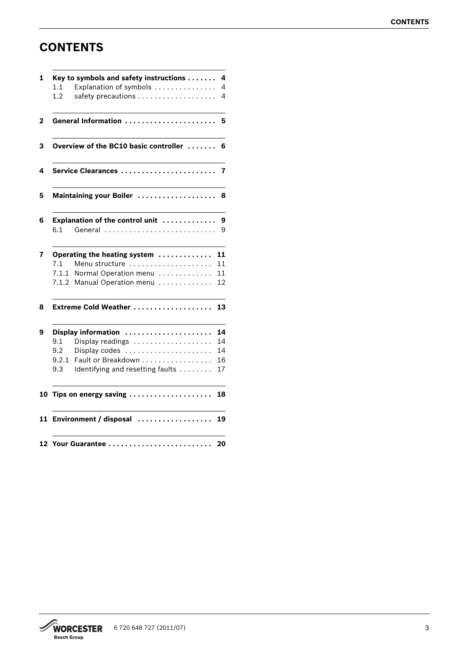## **CONTENTS**

|       | Key to symbols and safety instructions | 4  |
|-------|----------------------------------------|----|
| 1.1   | Explanation of symbols                 | 4  |
| 1.2   |                                        | 4  |
|       | General Information                    | 5  |
|       | Overview of the BC10 basic controller  | 6  |
|       | Service Clearances                     | 7  |
|       | Maintaining your Boiler                | 8  |
|       | Explanation of the control unit        | 9  |
| 6.1   | General                                | 9  |
|       | Operating the heating system           | 11 |
| 7.1   | Menu structure                         | 11 |
| 7.1.1 | Normal Operation menu                  | 11 |
| 7.1.2 | Manual Operation menu                  | 12 |
|       | Extreme Cold Weather                   | 13 |
|       | Display information                    | 14 |
| 9.1   | Display readings                       | 14 |
| 9.2   | Display codes                          | 14 |
| 9.2.1 | Fault or Breakdown                     | 16 |
| 9.3   | Identifying and resetting faults       | 17 |
|       | 10 Tips on energy saving               | 18 |
|       | 11 Environment / disposal              | 19 |
|       | 12 Your Guarantee                      | 20 |

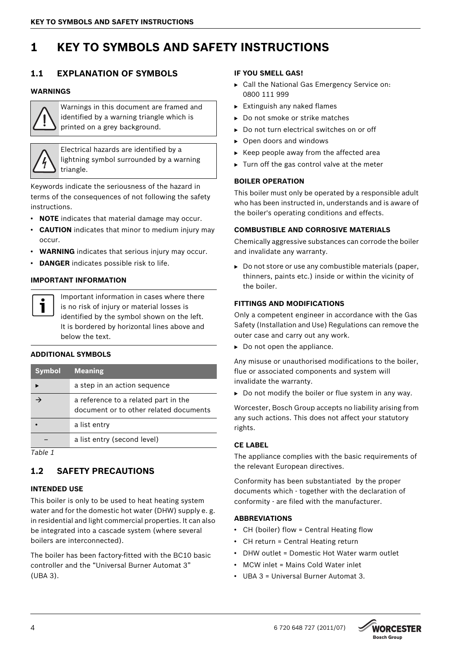## <span id="page-3-0"></span>**1 KEY TO SYMBOLS AND SAFETY INSTRUCTIONS**

## <span id="page-3-1"></span>**1.1 EXPLANATION OF SYMBOLS**

#### **WARNINGS**



Warnings in this document are framed and identified by a warning triangle which is printed on a grey background.

Electrical hazards are identified by a lightning symbol surrounded by a warning triangle.

Keywords indicate the seriousness of the hazard in terms of the consequences of not following the safety instructions.

- **NOTE** indicates that material damage may occur.
- **CAUTION** indicates that minor to medium injury may occur.
- **WARNING** indicates that serious injury may occur.
- **DANGER** indicates possible risk to life.

### **IMPORTANT INFORMATION**



Important information in cases where there is no risk of injury or material losses is identified by the symbol shown on the left. It is bordered by horizontal lines above and below the text.

#### **ADDITIONAL SYMBOLS**

| <b>Symbol</b> | <b>Meaning</b>                                                                 |
|---------------|--------------------------------------------------------------------------------|
|               | a step in an action sequence                                                   |
|               | a reference to a related part in the<br>document or to other related documents |
|               | a list entry                                                                   |
|               | a list entry (second level)                                                    |
| .             |                                                                                |

*Table 1*

## <span id="page-3-2"></span>**1.2 SAFETY PRECAUTIONS**

## **INTENDED USE**

This boiler is only to be used to heat heating system water and for the domestic hot water (DHW) supply e. g. in residential and light commercial properties. It can also be integrated into a cascade system (where several boilers are interconnected).

The boiler has been factory-fitted with the BC10 basic controller and the "Universal Burner Automat 3" (UBA 3).

### **IF YOU SMELL GAS!**

- ► Call the National Gas Emergency Service on: 0800 111 999
- $\blacktriangleright$  Extinguish any naked flames
- $\triangleright$  Do not smoke or strike matches
- $\triangleright$  Do not turn electrical switches on or off
- $\triangleright$  Open doors and windows
- $\triangleright$  Keep people away from the affected area
- $\triangleright$  Turn off the gas control valve at the meter

### **BOILER OPERATION**

This boiler must only be operated by a responsible adult who has been instructed in, understands and is aware of the boiler's operating conditions and effects.

### **COMBUSTIBLE AND CORROSIVE MATERIALS**

Chemically aggressive substances can corrode the boiler and invalidate any warranty.

 $\triangleright$  Do not store or use any combustible materials (paper, thinners, paints etc.) inside or within the vicinity of the boiler.

#### **FITTINGS AND MODIFICATIONS**

Only a competent engineer in accordance with the Gas Safety (Installation and Use) Regulations can remove the outer case and carry out any work.

 $\triangleright$  Do not open the appliance.

Any misuse or unauthorised modifications to the boiler, flue or associated components and system will invalidate the warranty.

 $\triangleright$  Do not modify the boiler or flue system in any way.

Worcester, Bosch Group accepts no liability arising from any such actions. This does not affect your statutory rights.

#### **CE LABEL**

The appliance complies with the basic requirements of the relevant European directives.

Conformity has been substantiated by the proper documents which - together with the declaration of conformity - are filed with the manufacturer.

## **ABBREVIATIONS**

- CH (boiler) flow = Central Heating flow
- CH return = Central Heating return
- DHW outlet = Domestic Hot Water warm outlet
- MCW inlet = Mains Cold Water inlet
- UBA 3 = Universal Burner Automat 3.

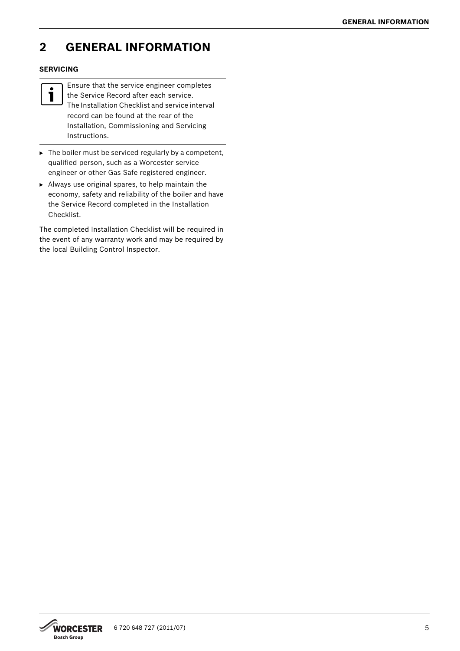## <span id="page-4-0"></span>**2 GENERAL INFORMATION**

## **SERVICING**



Ensure that the service engineer completes the Service Record after each service. The Installation Checklist and service interval record can be found at the rear of the Installation, Commissioning and Servicing Instructions.

- $\blacktriangleright$  The boiler must be serviced regularly by a competent, qualified person, such as a Worcester service engineer or other Gas Safe registered engineer.
- $\blacktriangleright$  Always use original spares, to help maintain the economy, safety and reliability of the boiler and have the Service Record completed in the Installation Checklist.

The completed Installation Checklist will be required in the event of any warranty work and may be required by the local Building Control Inspector.

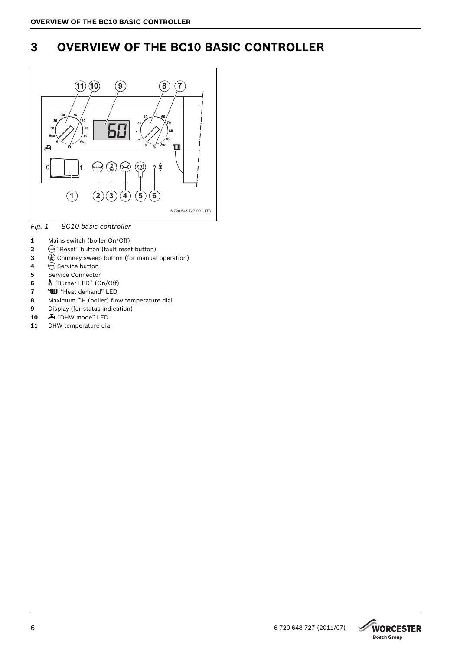## <span id="page-5-0"></span>**3 OVERVIEW OF THE BC10 BASIC CONTROLLER**



<span id="page-5-1"></span>*Fig. 1 BC10 basic controller*

- Mains switch (boiler On/Off)
- conset " button (fault reset button)
- @ Chimney sweep button (for manual operation)
- **e** Service button
- Service Connector
- G "Burner LED" (On/Off)
- **COD** "Heat demand" LED
- Maximum CH (boiler) flow temperature dial
- Display (for status indication)
- **A** "DHW mode" LED
- 11 DHW temperature dial

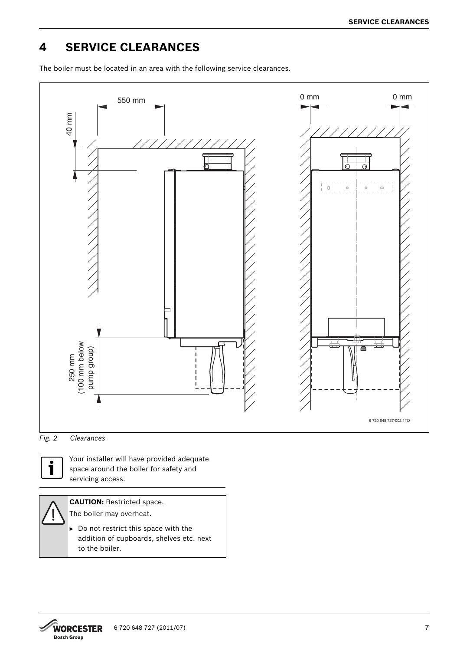## <span id="page-6-0"></span>**4 SERVICE CLEARANCES**

The boiler must be located in an area with the following service clearances.







Your installer will have provided adequate space around the boiler for safety and servicing access.

**CAUTION:** Restricted space. The boiler may overheat.

 $\triangleright$  Do not restrict this space with the addition of cupboards, shelves etc. next to the boiler.

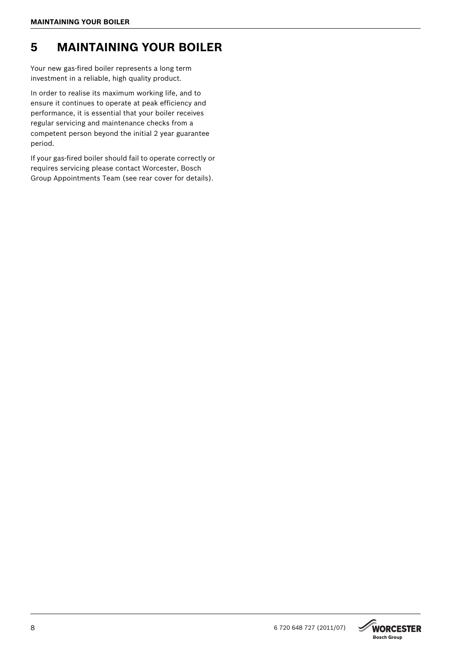## <span id="page-7-0"></span>**5 MAINTAINING YOUR BOILER**

Your new gas-fired boiler represents a long term investment in a reliable, high quality product.

In order to realise its maximum working life, and to ensure it continues to operate at peak efficiency and performance, it is essential that your boiler receives regular servicing and maintenance checks from a competent person beyond the initial 2 year guarantee period.

If your gas-fired boiler should fail to operate correctly or requires servicing please contact Worcester, Bosch Group Appointments Team (see rear cover for details).

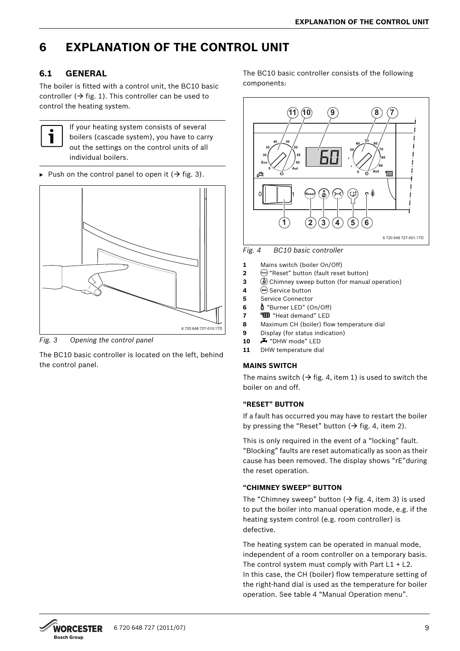## <span id="page-8-0"></span>**6 EXPLANATION OF THE CONTROL UNIT**

## <span id="page-8-1"></span>**6.1 GENERAL**

The boiler is fitted with a control unit, the BC10 basic controller ( $\rightarrow$  fig[. 1\)](#page-5-1). This controller can be used to control the heating system.



If your heating system consists of several boilers (cascade system), you have to carry out the settings on the control units of all individual boilers.

Push on the control panel to open it ( $\rightarrow$  fig. [3\)](#page-8-2).



<span id="page-8-2"></span>*Fig. 3 Opening the control panel*

The BC10 basic controller is located on the left, behind the control panel.

The BC10 basic controller consists of the following components:



<span id="page-8-3"></span>*Fig. 4 BC10 basic controller*

- **1** Mains switch (boiler On/Off)
- **2** (reset) "Reset" button (fault reset button)
- **3**  $\bigcirc$  Chimney sweep button (for manual operation)
- 4  $\ominus$  Service button
- **5** Service Connector
- **6** G "Burner LED" (On/Off)
- **7 CD** "Heat demand" LED
- **8** Maximum CH (boiler) flow temperature dial
- **9** Display (for status indication)
- 10 **A** "DHW mode" LED
- **11** DHW temperature dial

## **MAINS SWITCH**

The mains switch  $(\rightarrow$  fig[. 4](#page-8-3), item 1) is used to switch the boiler on and off.

## **"RESET" BUTTON**

If a fault has occurred you may have to restart the boiler by pressing the "Reset" button ( $\rightarrow$  fig[. 4](#page-8-3), item 2).

This is only required in the event of a "locking" fault. "Blocking" faults are reset automatically as soon as their cause has been removed. The display shows "rE"during the reset operation.

## **"CHIMNEY SWEEP" BUTTON**

The "Chimney sweep" button ( $\rightarrow$  fig. [4,](#page-8-3) item 3) is used to put the boiler into manual operation mode, e.g. if the heating system control (e.g. room controller) is defective.

The heating system can be operated in manual mode, independent of a room controller on a temporary basis. The control system must comply with Part  $L1 + L2$ . In this case, the CH (boiler) flow temperature setting of the right-hand dial is used as the temperature for boiler operation. See tabl[e 4](#page-11-1) "Manual Operation menu".

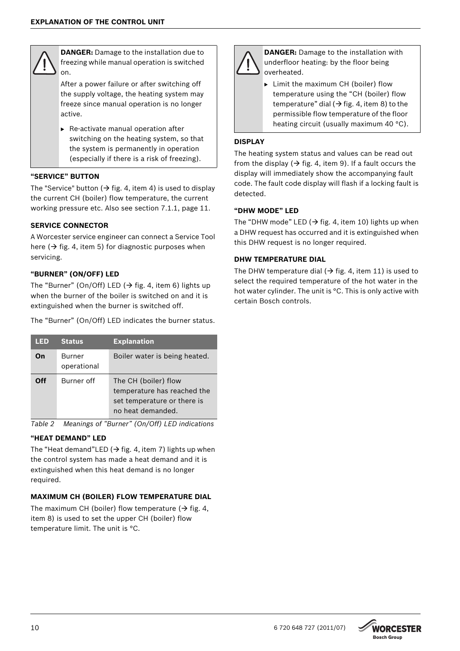

**DANGER:** Damage to the installation due to freezing while manual operation is switched on.

After a power failure or after switching off the supply voltage, the heating system may freeze since manual operation is no longer active.

 $\blacktriangleright$  Re-activate manual operation after switching on the heating system, so that the system is permanently in operation (especially if there is a risk of freezing).

## **"SERVICE" BUTTON**

The "Service" button ( $\rightarrow$  fig[. 4](#page-8-3), item 4) is used to display the current CH (boiler) flow temperature, the current working pressure etc. Also see section [7.1.1](#page-10-2), pag[e 11.](#page-10-2)

## **SERVICE CONNECTOR**

A Worcester service engineer can connect a Service Tool here ( $\rightarrow$  fig[. 4](#page-8-3), item 5) for diagnostic purposes when servicing.

### **"BURNER" (ON/OFF) LED**

The "Burner" (On/Off) LED ( $\rightarrow$  fig. [4](#page-8-3), item 6) lights up when the burner of the boiler is switched on and it is extinguished when the burner is switched off.

The "Burner" (On/Off) LED indicates the burner status.

| LED | <b>Status</b>                | <b>Explanation</b>                                                                                      |
|-----|------------------------------|---------------------------------------------------------------------------------------------------------|
| On  | <b>Burner</b><br>operational | Boiler water is being heated.                                                                           |
| ∩ff | Burner off                   | The CH (boiler) flow<br>temperature has reached the<br>set temperature or there is<br>no heat demanded. |

*Table 2 Meanings of "Burner" (On/Off) LED indications*

## **"HEAT DEMAND" LED**

The "Heat demand"LED ( $\rightarrow$  fig. [4,](#page-8-3) item 7) lights up when the control system has made a heat demand and it is extinguished when this heat demand is no longer required.

## **MAXIMUM CH (BOILER) FLOW TEMPERATURE DIAL**

The maximum CH (boiler) flow temperature ( $\rightarrow$  fig[. 4,](#page-8-3) item 8) is used to set the upper CH (boiler) flow temperature limit. The unit is °C.



**DANGER:** Damage to the installation with underfloor heating: by the floor being overheated.

 $\blacktriangleright$  Limit the maximum CH (boiler) flow temperature using the "CH (boiler) flow temperature" dial ( $\rightarrow$  fig[. 4](#page-8-3), item 8) to the permissible flow temperature of the floor heating circuit (usually maximum 40 °C).

## **DISPLAY**

The heating system status and values can be read out from the display ( $\rightarrow$  fig. [4,](#page-8-3) item 9). If a fault occurs the display will immediately show the accompanying fault code. The fault code display will flash if a locking fault is detected.

### **"DHW MODE" LED**

The "DHW mode" LED ( $\rightarrow$  fig[. 4](#page-8-3), item 10) lights up when a DHW request has occurred and it is extinguished when this DHW request is no longer required.

## **DHW TEMPERATURE DIAL**

The DHW temperature dial ( $\rightarrow$  fig. [4](#page-8-3), item 11) is used to select the required temperature of the hot water in the hot water cylinder. The unit is °C. This is only active with certain Bosch controls.

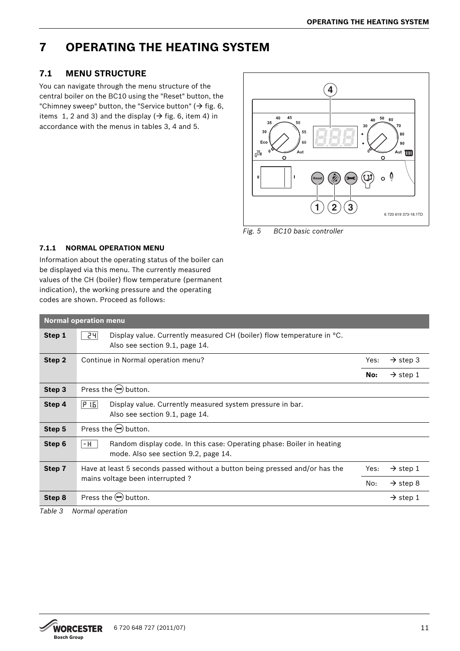## <span id="page-10-0"></span>**7 OPERATING THE HEATING SYSTEM**

## <span id="page-10-1"></span>**7.1 MENU STRUCTURE**

You can navigate through the menu structure of the central boiler on the BC10 using the "Reset" button, the "Chimney sweep" button, the "Service button" ( $\rightarrow$  fig. [6,](#page-16-1) items 1, 2 and 3) and the display ( $\rightarrow$  fig. [6,](#page-16-1) item 4) in accordance with the menus in tables [3](#page-10-3)[, 4](#page-11-1) and 5.



*Fig. 5 BC10 basic controller*

## <span id="page-10-2"></span>**7.1.1 NORMAL OPERATION MENU**

Information about the operating status of the boiler can be displayed via this menu. The currently measured values of the CH (boiler) flow temperature (permanent indication), the working pressure and the operating codes are shown. Proceed as follows:

|        | <b>Normal operation menu</b>                                                                                              |      |                      |  |  |  |  |  |  |
|--------|---------------------------------------------------------------------------------------------------------------------------|------|----------------------|--|--|--|--|--|--|
| Step 1 | 24<br>Display value. Currently measured CH (boiler) flow temperature in <sup>o</sup> C.<br>Also see section 9.1, page 14. |      |                      |  |  |  |  |  |  |
| Step 2 | Continue in Normal operation menu?                                                                                        | Yes: | $\rightarrow$ step 3 |  |  |  |  |  |  |
|        |                                                                                                                           | No:  | $\rightarrow$ step 1 |  |  |  |  |  |  |
| Step 3 | Press the $(\rightarrow)$ button.                                                                                         |      |                      |  |  |  |  |  |  |
| Step 4 | P 1.5 <br>Display value. Currently measured system pressure in bar.<br>Also see section 9.1, page 14.                     |      |                      |  |  |  |  |  |  |
| Step 5 | Press the $(\rightarrow)$ button.                                                                                         |      |                      |  |  |  |  |  |  |
| Step 6 | Random display code. In this case: Operating phase: Boiler in heating<br>- H<br>mode. Also see section 9.2, page 14.      |      |                      |  |  |  |  |  |  |
| Step 7 | Have at least 5 seconds passed without a button being pressed and/or has the                                              | Yes: | $\rightarrow$ step 1 |  |  |  |  |  |  |
|        | mains voltage been interrupted?                                                                                           | No:  | $\rightarrow$ step 8 |  |  |  |  |  |  |
| Step 8 | Press the $(\rightarrow)$ button.                                                                                         |      | $\rightarrow$ step 1 |  |  |  |  |  |  |

<span id="page-10-3"></span>*Table 3 Normal operation*

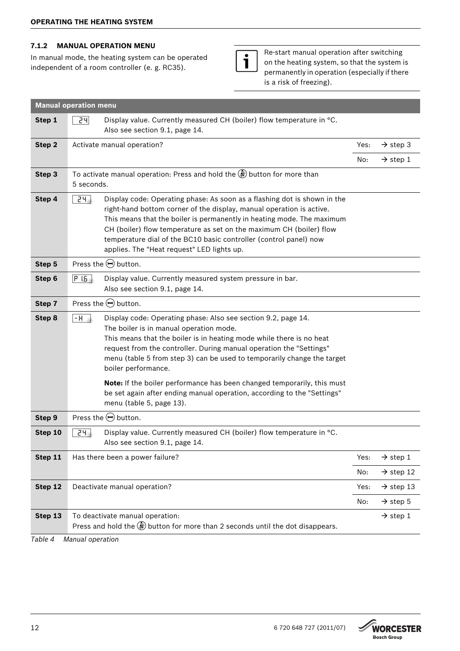## <span id="page-11-0"></span>**7.1.2 MANUAL OPERATION MENU**

In manual mode, the heating system can be operated independent of a room controller (e. g. RC35).



Re-start manual operation after switching on the heating system, so that the system is permanently in operation (especially if there is a risk of freezing).

| Step 1<br>24<br>Display value. Currently measured CH (boiler) flow temperature in °C.<br>Also see section 9.1, page 14.<br>Step 2<br>Activate manual operation?<br>$\rightarrow$ step 3<br>Yes:<br>No:<br>$\rightarrow$ step 1<br>To activate manual operation: Press and hold the $\gg$ button for more than<br>Step 3<br>5 seconds.<br>Step 4<br>$24\pm$<br>Display code: Operating phase: As soon as a flashing dot is shown in the<br>right-hand bottom corner of the display, manual operation is active.<br>This means that the boiler is permanently in heating mode. The maximum<br>CH (boiler) flow temperature as set on the maximum CH (boiler) flow<br>temperature dial of the BC10 basic controller (control panel) now<br>applies. The "Heat request" LED lights up.<br>Press the $\ominus$ button.<br>Step 5<br>Display value. Currently measured system pressure in bar.<br>Step 6<br>$P$ i.b. $\downarrow$<br>Also see section 9.1, page 14.<br>Press the $\ominus$ button.<br>Step 7<br>Step 8<br>Display code: Operating phase: Also see section 9.2, page 14.<br>$\overline{\mathsf{H}}$ +<br>The boiler is in manual operation mode.<br>This means that the boiler is in heating mode while there is no heat<br>request from the controller. During manual operation the "Settings"<br>menu (table 5 from step 3) can be used to temporarily change the target<br>boiler performance.<br>Note: If the boiler performance has been changed temporarily, this must<br>be set again after ending manual operation, according to the "Settings"<br>menu (table 5, page 13).<br>Press the $\ominus$ button.<br>Step 9<br>Display value. Currently measured CH (boiler) flow temperature in °C.<br>$24*$<br>Step 10<br>Also see section 9.1, page 14.<br>Step 11<br>Has there been a power failure?<br>$\rightarrow$ step 1<br>Yes:<br>No:<br>$\rightarrow$ step 12<br>Step 12<br>Deactivate manual operation?<br>$\rightarrow$ step 13<br>Yes:<br>No:<br>$\rightarrow$ step 5<br>Step 13<br>To deactivate manual operation:<br>$\rightarrow$ step 1<br>Press and hold the $\gg$ button for more than 2 seconds until the dot disappears. | <b>Manual operation menu</b> |  |  |  |  |  |  |
|----------------------------------------------------------------------------------------------------------------------------------------------------------------------------------------------------------------------------------------------------------------------------------------------------------------------------------------------------------------------------------------------------------------------------------------------------------------------------------------------------------------------------------------------------------------------------------------------------------------------------------------------------------------------------------------------------------------------------------------------------------------------------------------------------------------------------------------------------------------------------------------------------------------------------------------------------------------------------------------------------------------------------------------------------------------------------------------------------------------------------------------------------------------------------------------------------------------------------------------------------------------------------------------------------------------------------------------------------------------------------------------------------------------------------------------------------------------------------------------------------------------------------------------------------------------------------------------------------------------------------------------------------------------------------------------------------------------------------------------------------------------------------------------------------------------------------------------------------------------------------------------------------------------------------------------------------------------------------------------------------------------------------------------------------------------------------------------------------------------------------------------------------------|------------------------------|--|--|--|--|--|--|
|                                                                                                                                                                                                                                                                                                                                                                                                                                                                                                                                                                                                                                                                                                                                                                                                                                                                                                                                                                                                                                                                                                                                                                                                                                                                                                                                                                                                                                                                                                                                                                                                                                                                                                                                                                                                                                                                                                                                                                                                                                                                                                                                                          |                              |  |  |  |  |  |  |
|                                                                                                                                                                                                                                                                                                                                                                                                                                                                                                                                                                                                                                                                                                                                                                                                                                                                                                                                                                                                                                                                                                                                                                                                                                                                                                                                                                                                                                                                                                                                                                                                                                                                                                                                                                                                                                                                                                                                                                                                                                                                                                                                                          |                              |  |  |  |  |  |  |
|                                                                                                                                                                                                                                                                                                                                                                                                                                                                                                                                                                                                                                                                                                                                                                                                                                                                                                                                                                                                                                                                                                                                                                                                                                                                                                                                                                                                                                                                                                                                                                                                                                                                                                                                                                                                                                                                                                                                                                                                                                                                                                                                                          |                              |  |  |  |  |  |  |
|                                                                                                                                                                                                                                                                                                                                                                                                                                                                                                                                                                                                                                                                                                                                                                                                                                                                                                                                                                                                                                                                                                                                                                                                                                                                                                                                                                                                                                                                                                                                                                                                                                                                                                                                                                                                                                                                                                                                                                                                                                                                                                                                                          |                              |  |  |  |  |  |  |
|                                                                                                                                                                                                                                                                                                                                                                                                                                                                                                                                                                                                                                                                                                                                                                                                                                                                                                                                                                                                                                                                                                                                                                                                                                                                                                                                                                                                                                                                                                                                                                                                                                                                                                                                                                                                                                                                                                                                                                                                                                                                                                                                                          |                              |  |  |  |  |  |  |
|                                                                                                                                                                                                                                                                                                                                                                                                                                                                                                                                                                                                                                                                                                                                                                                                                                                                                                                                                                                                                                                                                                                                                                                                                                                                                                                                                                                                                                                                                                                                                                                                                                                                                                                                                                                                                                                                                                                                                                                                                                                                                                                                                          |                              |  |  |  |  |  |  |
|                                                                                                                                                                                                                                                                                                                                                                                                                                                                                                                                                                                                                                                                                                                                                                                                                                                                                                                                                                                                                                                                                                                                                                                                                                                                                                                                                                                                                                                                                                                                                                                                                                                                                                                                                                                                                                                                                                                                                                                                                                                                                                                                                          |                              |  |  |  |  |  |  |
|                                                                                                                                                                                                                                                                                                                                                                                                                                                                                                                                                                                                                                                                                                                                                                                                                                                                                                                                                                                                                                                                                                                                                                                                                                                                                                                                                                                                                                                                                                                                                                                                                                                                                                                                                                                                                                                                                                                                                                                                                                                                                                                                                          |                              |  |  |  |  |  |  |
|                                                                                                                                                                                                                                                                                                                                                                                                                                                                                                                                                                                                                                                                                                                                                                                                                                                                                                                                                                                                                                                                                                                                                                                                                                                                                                                                                                                                                                                                                                                                                                                                                                                                                                                                                                                                                                                                                                                                                                                                                                                                                                                                                          |                              |  |  |  |  |  |  |
|                                                                                                                                                                                                                                                                                                                                                                                                                                                                                                                                                                                                                                                                                                                                                                                                                                                                                                                                                                                                                                                                                                                                                                                                                                                                                                                                                                                                                                                                                                                                                                                                                                                                                                                                                                                                                                                                                                                                                                                                                                                                                                                                                          |                              |  |  |  |  |  |  |
|                                                                                                                                                                                                                                                                                                                                                                                                                                                                                                                                                                                                                                                                                                                                                                                                                                                                                                                                                                                                                                                                                                                                                                                                                                                                                                                                                                                                                                                                                                                                                                                                                                                                                                                                                                                                                                                                                                                                                                                                                                                                                                                                                          |                              |  |  |  |  |  |  |
|                                                                                                                                                                                                                                                                                                                                                                                                                                                                                                                                                                                                                                                                                                                                                                                                                                                                                                                                                                                                                                                                                                                                                                                                                                                                                                                                                                                                                                                                                                                                                                                                                                                                                                                                                                                                                                                                                                                                                                                                                                                                                                                                                          |                              |  |  |  |  |  |  |
|                                                                                                                                                                                                                                                                                                                                                                                                                                                                                                                                                                                                                                                                                                                                                                                                                                                                                                                                                                                                                                                                                                                                                                                                                                                                                                                                                                                                                                                                                                                                                                                                                                                                                                                                                                                                                                                                                                                                                                                                                                                                                                                                                          |                              |  |  |  |  |  |  |
|                                                                                                                                                                                                                                                                                                                                                                                                                                                                                                                                                                                                                                                                                                                                                                                                                                                                                                                                                                                                                                                                                                                                                                                                                                                                                                                                                                                                                                                                                                                                                                                                                                                                                                                                                                                                                                                                                                                                                                                                                                                                                                                                                          |                              |  |  |  |  |  |  |
|                                                                                                                                                                                                                                                                                                                                                                                                                                                                                                                                                                                                                                                                                                                                                                                                                                                                                                                                                                                                                                                                                                                                                                                                                                                                                                                                                                                                                                                                                                                                                                                                                                                                                                                                                                                                                                                                                                                                                                                                                                                                                                                                                          |                              |  |  |  |  |  |  |
|                                                                                                                                                                                                                                                                                                                                                                                                                                                                                                                                                                                                                                                                                                                                                                                                                                                                                                                                                                                                                                                                                                                                                                                                                                                                                                                                                                                                                                                                                                                                                                                                                                                                                                                                                                                                                                                                                                                                                                                                                                                                                                                                                          |                              |  |  |  |  |  |  |
|                                                                                                                                                                                                                                                                                                                                                                                                                                                                                                                                                                                                                                                                                                                                                                                                                                                                                                                                                                                                                                                                                                                                                                                                                                                                                                                                                                                                                                                                                                                                                                                                                                                                                                                                                                                                                                                                                                                                                                                                                                                                                                                                                          |                              |  |  |  |  |  |  |

<span id="page-11-1"></span>*Table 4 Manual operation*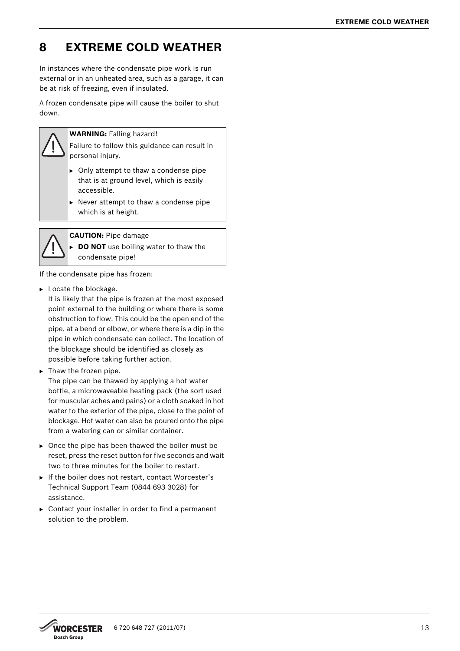## <span id="page-12-0"></span>**8 EXTREME COLD WEATHER**

In instances where the condensate pipe work is run external or in an unheated area, such as a garage, it can be at risk of freezing, even if insulated.

A frozen condensate pipe will cause the boiler to shut down.



**WARNING:** Falling hazard!

Failure to follow this guidance can result in personal injury.

- $\triangleright$  Only attempt to thaw a condense pipe that is at ground level, which is easily accessible.
- $\triangleright$  Never attempt to thaw a condense pipe which is at height.



**CAUTION:** Pipe damage

**DO NOT** use boiling water to thaw the condensate pipe!

If the condensate pipe has frozen:

 $\blacktriangleright$  Locate the blockage.

It is likely that the pipe is frozen at the most exposed point external to the building or where there is some obstruction to flow. This could be the open end of the pipe, at a bend or elbow, or where there is a dip in the pipe in which condensate can collect. The location of the blockage should be identified as closely as possible before taking further action.

 $\blacktriangleright$  Thaw the frozen pipe.

The pipe can be thawed by applying a hot water bottle, a microwaveable heating pack (the sort used for muscular aches and pains) or a cloth soaked in hot water to the exterior of the pipe, close to the point of blockage. Hot water can also be poured onto the pipe from a watering can or similar container.

- $\triangleright$  Once the pipe has been thawed the boiler must be reset, press the reset button for five seconds and wait two to three minutes for the boiler to restart.
- If the boiler does not restart, contact Worcester's Technical Support Team (0844 693 3028) for assistance.
- $\triangleright$  Contact your installer in order to find a permanent solution to the problem.

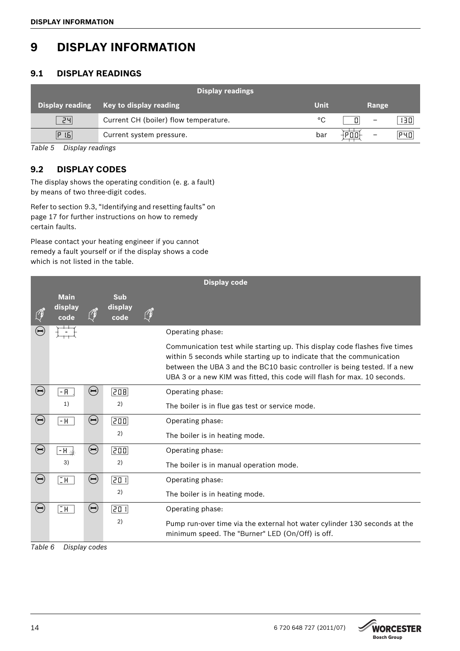## <span id="page-13-0"></span>**9 DISPLAY INFORMATION**

## <span id="page-13-1"></span>**9.1 DISPLAY READINGS**

|                        | <b>Display readings</b>               |      |                               |     |
|------------------------|---------------------------------------|------|-------------------------------|-----|
| <b>Display reading</b> | Key to display reading                | Unit | Range                         |     |
| 24                     | Current CH (boiler) flow temperature. | °C   | л<br>$\overline{\phantom{m}}$ | 130 |
| P 1.6                  | Current system pressure.              | bar  | $\overline{\phantom{0}}$      | P40 |

*Table 5 Display readings*

## <span id="page-13-2"></span>**9.2 DISPLAY CODES**

The display shows the operating condition (e. g. a fault) by means of two three-digit codes.

Refer to section [9.3](#page-16-0), ["Identifying and resetting faults"](#page-16-0) on pag[e 17](#page-16-0) for further instructions on how to remedy certain faults.

Please contact your heating engineer if you cannot remedy a fault yourself or if the display shows a code which is not listed in the table.

<span id="page-13-3"></span>

|                              |                                |                              |                               | <b>Display code</b>                                                                                                                                                                                                                                                                                          |
|------------------------------|--------------------------------|------------------------------|-------------------------------|--------------------------------------------------------------------------------------------------------------------------------------------------------------------------------------------------------------------------------------------------------------------------------------------------------------|
|                              | <b>Main</b><br>display<br>code |                              | <b>Sub</b><br>display<br>code |                                                                                                                                                                                                                                                                                                              |
| $(\equiv)$                   |                                |                              |                               | Operating phase:                                                                                                                                                                                                                                                                                             |
|                              |                                |                              |                               | Communication test while starting up. This display code flashes five times<br>within 5 seconds while starting up to indicate that the communication<br>between the UBA 3 and the BC10 basic controller is being tested. If a new<br>UBA 3 or a new KIM was fitted, this code will flash for max. 10 seconds. |
| $(\rightarrowtail)$          | $ R$                           | $\left( \biguplus \right)$   | [208]                         | Operating phase:                                                                                                                                                                                                                                                                                             |
|                              | 1)                             |                              | 2)                            | The boiler is in flue gas test or service mode.                                                                                                                                                                                                                                                              |
| $(\rightarrow)$              | - H                            | $\left( \biguplus \right)$   | 200)                          | Operating phase:                                                                                                                                                                                                                                                                                             |
|                              |                                |                              | 2)                            | The boiler is in heating mode.                                                                                                                                                                                                                                                                               |
| $\left( \rightarrow \right)$ | $- H \rightarrow$              | $\left( \biguplus \right)$   | $\overline{200}$              | Operating phase:                                                                                                                                                                                                                                                                                             |
|                              | 3)                             |                              | 2)                            | The boiler is in manual operation mode.                                                                                                                                                                                                                                                                      |
| $\left( \biguplus \right)$   | $\overline{\Box H}$            | $\left( \biguplus \right)$   | $\overline{201}$              | Operating phase:                                                                                                                                                                                                                                                                                             |
|                              |                                |                              | 2)                            | The boiler is in heating mode.                                                                                                                                                                                                                                                                               |
| $(\rightarrow)$              | $\overline{\Box H}$            | $\left( \rightarrow \right)$ | 20 ।                          | Operating phase:                                                                                                                                                                                                                                                                                             |
|                              |                                |                              | 2)                            | Pump run-over time via the external hot water cylinder 130 seconds at the<br>minimum speed. The "Burner" LED (On/Off) is off.                                                                                                                                                                                |

*Table 6 Display codes*

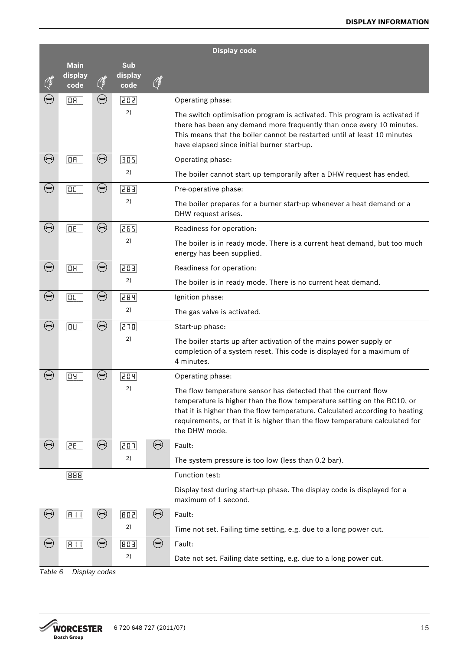|                            | <b>Display code</b>               |            |                  |            |                                                                                                                                                                                                                                                                                                                           |  |  |  |
|----------------------------|-----------------------------------|------------|------------------|------------|---------------------------------------------------------------------------------------------------------------------------------------------------------------------------------------------------------------------------------------------------------------------------------------------------------------------------|--|--|--|
|                            | <b>Main</b>                       |            | <b>Sub</b>       |            |                                                                                                                                                                                                                                                                                                                           |  |  |  |
|                            | display<br>code                   | O          | display<br>code  |            |                                                                                                                                                                                                                                                                                                                           |  |  |  |
| $\left(\rightleftarrow$    | $\boxed{0R}$                      | $\bigodot$ | 202)             |            | Operating phase:                                                                                                                                                                                                                                                                                                          |  |  |  |
|                            |                                   |            | 2)               |            | The switch optimisation program is activated. This program is activated if<br>there has been any demand more frequently than once every 10 minutes.<br>This means that the boiler cannot be restarted until at least 10 minutes<br>have elapsed since initial burner start-up.                                            |  |  |  |
| $\bigodot$                 | $\boxed{0R}$                      | $\bigodot$ | $\overline{305}$ |            | Operating phase:                                                                                                                                                                                                                                                                                                          |  |  |  |
|                            |                                   |            | 2)               |            | The boiler cannot start up temporarily after a DHW request has ended.                                                                                                                                                                                                                                                     |  |  |  |
| $\bigodot$                 | $\boxed{0}$                       | $\bigodot$ | 283)             |            | Pre-operative phase:                                                                                                                                                                                                                                                                                                      |  |  |  |
|                            |                                   |            | 2)               |            | The boiler prepares for a burner start-up whenever a heat demand or a<br>DHW request arises.                                                                                                                                                                                                                              |  |  |  |
| $\bigodot$                 | $\overline{\mathsf{BE}}$          | $\bigodot$ | 265              |            | Readiness for operation:                                                                                                                                                                                                                                                                                                  |  |  |  |
|                            |                                   |            | 2)               |            | The boiler is in ready mode. There is a current heat demand, but too much<br>energy has been supplied.                                                                                                                                                                                                                    |  |  |  |
| $\bigodot$                 | $\overline{\mathsf{D}\mathsf{H}}$ | $\bigodot$ | 303)             |            | Readiness for operation:                                                                                                                                                                                                                                                                                                  |  |  |  |
|                            |                                   |            | 2)               |            | The boiler is in ready mode. There is no current heat demand.                                                                                                                                                                                                                                                             |  |  |  |
| $\bigodot$                 | ா                                 | $\bigodot$ | 284              |            | Ignition phase:                                                                                                                                                                                                                                                                                                           |  |  |  |
|                            |                                   |            | 2)               |            | The gas valve is activated.                                                                                                                                                                                                                                                                                               |  |  |  |
| $\left( \biguplus \right)$ | $\boxed{0}$                       | $\bigodot$ | 270              |            | Start-up phase:                                                                                                                                                                                                                                                                                                           |  |  |  |
|                            |                                   |            | 2)               |            | The boiler starts up after activation of the mains power supply or<br>completion of a system reset. This code is displayed for a maximum of<br>4 minutes.                                                                                                                                                                 |  |  |  |
| $(\blacktriangleright)$    | 04                                | $\bigodot$ | 204              |            | Operating phase:                                                                                                                                                                                                                                                                                                          |  |  |  |
|                            |                                   |            | 2)               |            | The flow temperature sensor has detected that the current flow<br>temperature is higher than the flow temperature setting on the BC10, or<br>that it is higher than the flow temperature. Calculated according to heating<br>requirements, or that it is higher than the flow temperature calculated for<br>the DHW mode. |  |  |  |
| $\bigodot$                 | 2E                                | $\bigodot$ | [201]            | $\bigodot$ | Fault:                                                                                                                                                                                                                                                                                                                    |  |  |  |
|                            |                                   |            | 2)               |            | The system pressure is too low (less than 0.2 bar).                                                                                                                                                                                                                                                                       |  |  |  |
|                            | 888                               |            |                  |            | Function test:                                                                                                                                                                                                                                                                                                            |  |  |  |
|                            |                                   |            |                  |            | Display test during start-up phase. The display code is displayed for a<br>maximum of 1 second.                                                                                                                                                                                                                           |  |  |  |
| $\left( \biguplus \right)$ | H11                               | $\bigodot$ | [602]            | $\bigodot$ | Fault:                                                                                                                                                                                                                                                                                                                    |  |  |  |
|                            |                                   |            | 2)               |            | Time not set. Failing time setting, e.g. due to a long power cut.                                                                                                                                                                                                                                                         |  |  |  |
| $\bigodot$                 | H11                               | $\bigodot$ | 803              | $\bigodot$ | Fault:                                                                                                                                                                                                                                                                                                                    |  |  |  |
|                            |                                   |            | 2)               |            | Date not set. Failing date setting, e.g. due to a long power cut.                                                                                                                                                                                                                                                         |  |  |  |
|                            | Table 6<br>Display codes          |            |                  |            |                                                                                                                                                                                                                                                                                                                           |  |  |  |

*Table 6 Display codes*

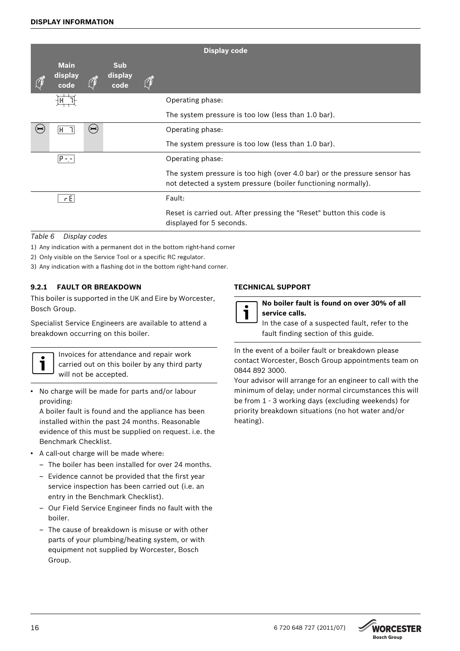|                                |                                               |                               | <b>Display code</b>                                                                                                                        |
|--------------------------------|-----------------------------------------------|-------------------------------|--------------------------------------------------------------------------------------------------------------------------------------------|
| <b>Main</b><br>display<br>code |                                               | <b>Sub</b><br>display<br>code |                                                                                                                                            |
|                                |                                               |                               | Operating phase:                                                                                                                           |
|                                |                                               |                               | The system pressure is too low (less than 1.0 bar).                                                                                        |
| H                              | $(\blacktriangleright\!\!\blacktriangleleft)$ |                               | Operating phase:                                                                                                                           |
|                                |                                               |                               | The system pressure is too low (less than 1.0 bar).                                                                                        |
| $(P = -1)$                     |                                               |                               | Operating phase:                                                                                                                           |
|                                |                                               |                               | The system pressure is too high (over 4.0 bar) or the pressure sensor has<br>not detected a system pressure (boiler functioning normally). |
| rE                             |                                               |                               | Fault:                                                                                                                                     |
|                                |                                               |                               | Reset is carried out. After pressing the "Reset" button this code is<br>displayed for 5 seconds.                                           |

## *Table 6 Display codes*

- 1) Any indication with a permanent dot in the bottom right-hand corner
- 2) Only visible on the Service Tool or a specific RC regulator.
- 3) Any indication with a flashing dot in the bottom right-hand corner.

## <span id="page-15-0"></span>**9.2.1 FAULT OR BREAKDOWN**

This boiler is supported in the UK and Eire by Worcester, Bosch Group.

Specialist Service Engineers are available to attend a breakdown occurring on this boiler.



Invoices for attendance and repair work carried out on this boiler by any third party will not be accepted.

• No charge will be made for parts and/or labour providing:

A boiler fault is found and the appliance has been installed within the past 24 months. Reasonable evidence of this must be supplied on request. i.e. the Benchmark Checklist.

- A call-out charge will be made where:
	- The boiler has been installed for over 24 months.
	- Evidence cannot be provided that the first year service inspection has been carried out (i.e. an entry in the Benchmark Checklist).
	- Our Field Service Engineer finds no fault with the boiler.
	- The cause of breakdown is misuse or with other parts of your plumbing/heating system, or with equipment not supplied by Worcester, Bosch Group.

## **TECHNICAL SUPPORT**

|--|

**No boiler fault is found on over 30% of all service calls.**

In the case of a suspected fault, refer to the fault finding section of this guide.

In the event of a boiler fault or breakdown please contact Worcester, Bosch Group appointments team on 0844 892 3000.

Your advisor will arrange for an engineer to call with the minimum of delay; under normal circumstances this will be from 1 - 3 working days (excluding weekends) for priority breakdown situations (no hot water and/or heating).

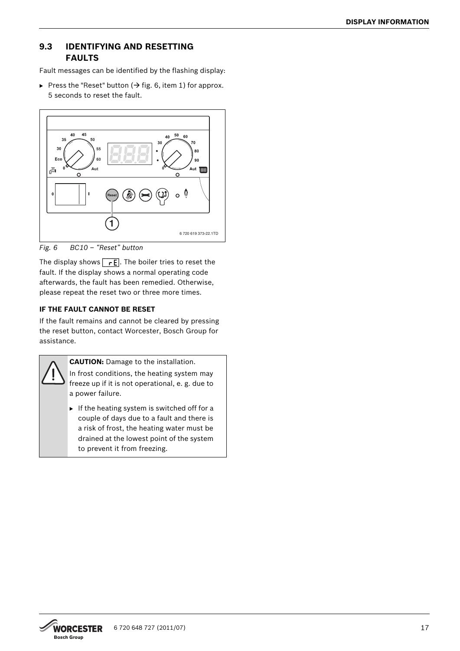## <span id="page-16-0"></span>**9.3 IDENTIFYING AND RESETTING FAULTS**

Fault messages can be identified by the flashing display:

Press the "Reset" button ( $\rightarrow$  fig[. 6](#page-16-1), item 1) for approx. 5 seconds to reset the fault.



<span id="page-16-1"></span>*Fig. 6 BC10 – "Reset" button*

The display shows  $\sqrt{rE}$ . The boiler tries to reset the fault. If the display shows a normal operating code afterwards, the fault has been remedied. Otherwise, please repeat the reset two or three more times.

## **IF THE FAULT CANNOT BE RESET**

If the fault remains and cannot be cleared by pressing the reset button, contact Worcester, Bosch Group for assistance.



**CAUTION:** Damage to the installation.

- In frost conditions, the heating system may freeze up if it is not operational, e. g. due to a power failure.
- $\blacktriangleright$  If the heating system is switched off for a couple of days due to a fault and there is a risk of frost, the heating water must be drained at the lowest point of the system to prevent it from freezing.

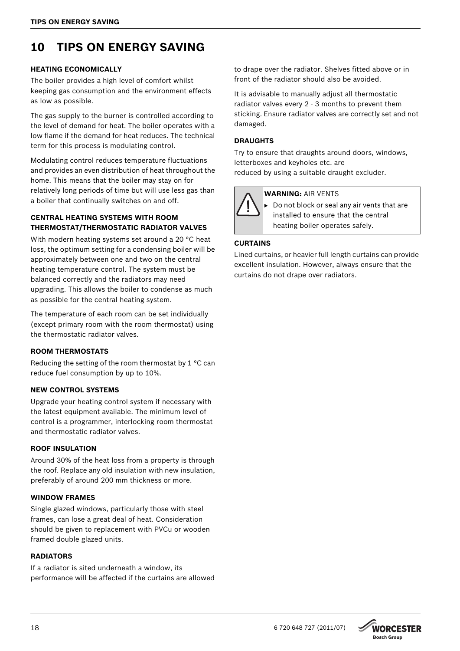## <span id="page-17-0"></span>**10 TIPS ON ENERGY SAVING**

### **HEATING ECONOMICALLY**

The boiler provides a high level of comfort whilst keeping gas consumption and the environment effects as low as possible.

The gas supply to the burner is controlled according to the level of demand for heat. The boiler operates with a low flame if the demand for heat reduces. The technical term for this process is modulating control.

Modulating control reduces temperature fluctuations and provides an even distribution of heat throughout the home. This means that the boiler may stay on for relatively long periods of time but will use less gas than a boiler that continually switches on and off.

## **CENTRAL HEATING SYSTEMS WITH ROOM THERMOSTAT/THERMOSTATIC RADIATOR VALVES**

With modern heating systems set around a 20 °C heat loss, the optimum setting for a condensing boiler will be approximately between one and two on the central heating temperature control. The system must be balanced correctly and the radiators may need upgrading. This allows the boiler to condense as much as possible for the central heating system.

The temperature of each room can be set individually (except primary room with the room thermostat) using the thermostatic radiator valves.

## **ROOM THERMOSTATS**

Reducing the setting of the room thermostat by 1 °C can reduce fuel consumption by up to 10%.

## **NEW CONTROL SYSTEMS**

Upgrade your heating control system if necessary with the latest equipment available. The minimum level of control is a programmer, interlocking room thermostat and thermostatic radiator valves.

#### **ROOF INSULATION**

Around 30% of the heat loss from a property is through the roof. Replace any old insulation with new insulation, preferably of around 200 mm thickness or more.

#### **WINDOW FRAMES**

Single glazed windows, particularly those with steel frames, can lose a great deal of heat. Consideration should be given to replacement with PVCu or wooden framed double glazed units.

## **RADIATORS**

If a radiator is sited underneath a window, its performance will be affected if the curtains are allowed

to drape over the radiator. Shelves fitted above or in front of the radiator should also be avoided.

It is advisable to manually adjust all thermostatic radiator valves every 2 - 3 months to prevent them sticking. Ensure radiator valves are correctly set and not damaged.

## **DRAUGHTS**

Try to ensure that draughts around doors, windows, letterboxes and keyholes etc. are reduced by using a suitable draught excluder.

### **WARNING:** AIR VENTS

B Do not block or seal any air vents that are installed to ensure that the central heating boiler operates safely.

## **CURTAINS**

Lined curtains, or heavier full length curtains can provide excellent insulation. However, always ensure that the curtains do not drape over radiators.

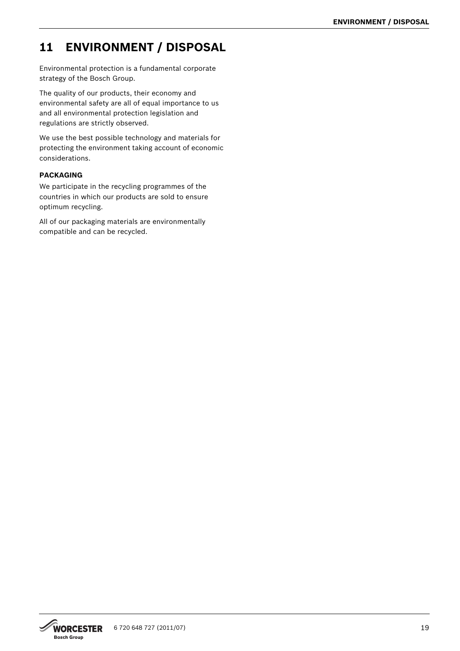## <span id="page-18-0"></span>**11 ENVIRONMENT / DISPOSAL**

Environmental protection is a fundamental corporate strategy of the Bosch Group.

The quality of our products, their economy and environmental safety are all of equal importance to us and all environmental protection legislation and regulations are strictly observed.

We use the best possible technology and materials for protecting the environment taking account of economic considerations.

## **PACKAGING**

We participate in the recycling programmes of the countries in which our products are sold to ensure optimum recycling.

All of our packaging materials are environmentally compatible and can be recycled.

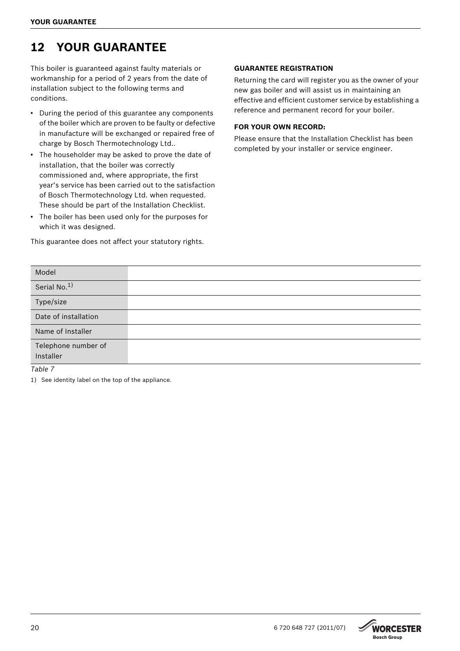## <span id="page-19-0"></span>**12 YOUR GUARANTEE**

This boiler is guaranteed against faulty materials or workmanship for a period of 2 years from the date of installation subject to the following terms and conditions.

- During the period of this guarantee any components of the boiler which are proven to be faulty or defective in manufacture will be exchanged or repaired free of charge by Bosch Thermotechnology Ltd..
- The householder may be asked to prove the date of installation, that the boiler was correctly commissioned and, where appropriate, the first year's service has been carried out to the satisfaction of Bosch Thermotechnology Ltd. when requested. These should be part of the Installation Checklist.
- The boiler has been used only for the purposes for which it was designed.

This guarantee does not affect your statutory rights.

## **GUARANTEE REGISTRATION**

Returning the card will register you as the owner of your new gas boiler and will assist us in maintaining an effective and efficient customer service by establishing a reference and permanent record for your boiler.

## **FOR YOUR OWN RECORD:**

Please ensure that the Installation Checklist has been completed by your installer or service engineer.

| Model                            |  |
|----------------------------------|--|
| Serial No. <sup>1)</sup>         |  |
| Type/size                        |  |
| Date of installation             |  |
| Name of Installer                |  |
| Telephone number of<br>Installer |  |
| $T_2h/a$ 7                       |  |

*Table 7*

1) See identity label on the top of the appliance.

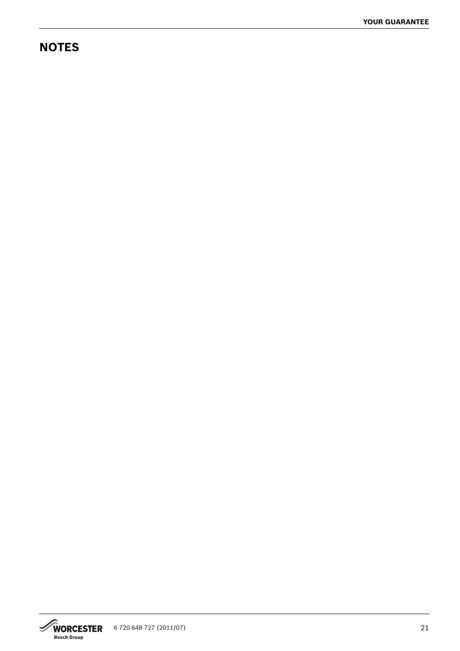## **NOTES**

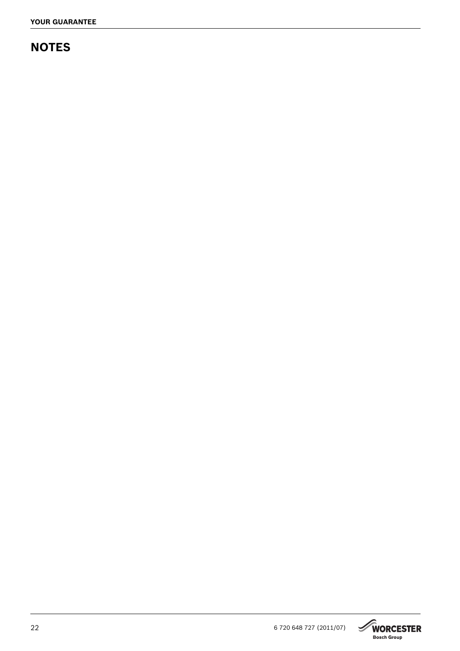## **NOTES**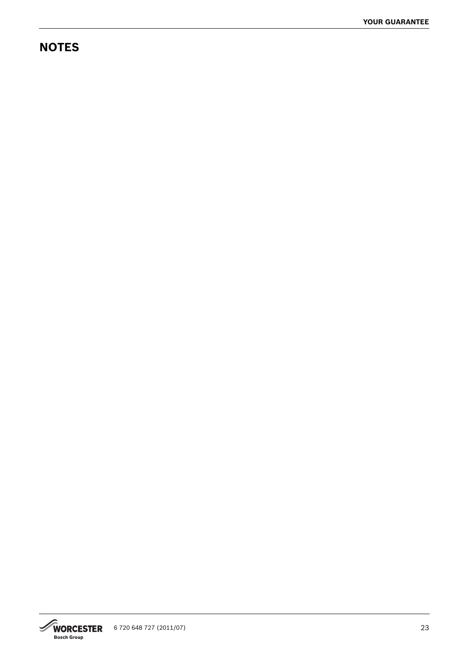## **NOTES**